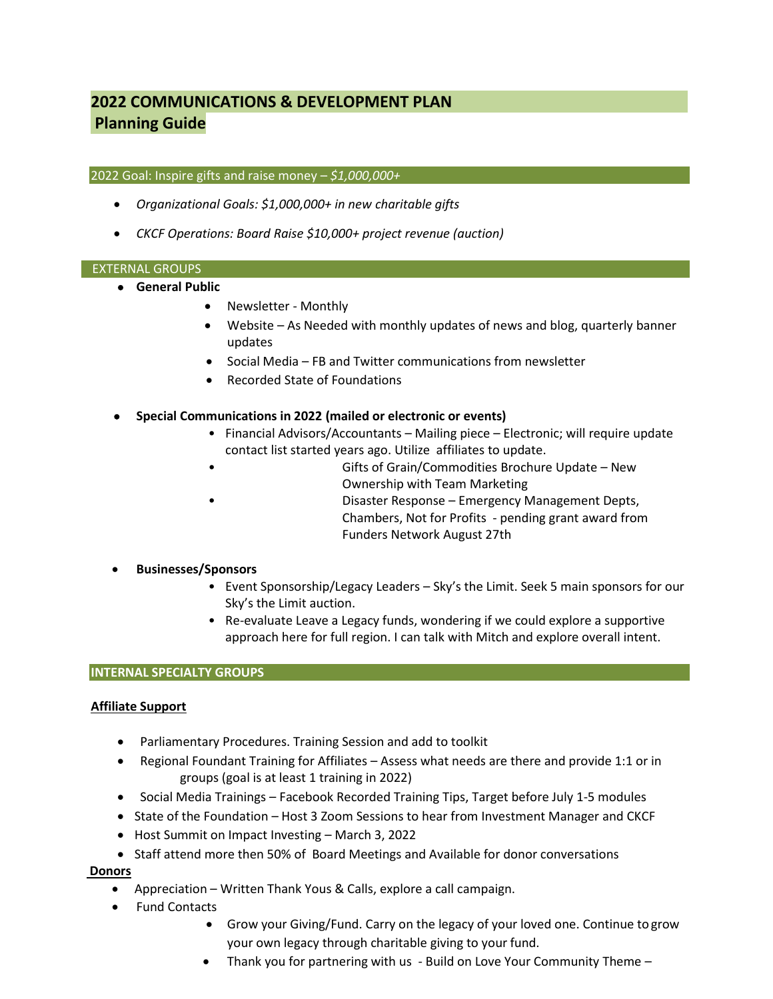# **2022 COMMUNICATIONS & DEVELOPMENT PLAN Planning Guide**

#### 2022 Goal: Inspire gifts and raise money – *\$1,000,000+*

- *Organizational Goals: \$1,000,000+ in new charitable gifts*
- *CKCF Operations: Board Raise \$10,000+ project revenue (auction)*

#### EXTERNAL GROUPS

- **General Public**
	- Newsletter Monthly
	- Website As Needed with monthly updates of news and blog, quarterly banner updates
	- Social Media FB and Twitter communications from newsletter
	- Recorded State of Foundations

## • **Special Communications in 2022 (mailed or electronic or events)**

- Financial Advisors/Accountants Mailing piece Electronic; will require update contact list started years ago. Utilize affiliates to update.
	- Gifts of Grain/Commodities Brochure Update New Ownership with Team Marketing
- Disaster Response Emergency Management Depts, Chambers, Not for Profits - pending grant award from Funders Network August 27th

# • **Businesses/Sponsors**

- Event Sponsorship/Legacy Leaders Sky's the Limit. Seek 5 main sponsors for our Sky's the Limit auction.
- Re-evaluate Leave a Legacy funds, wondering if we could explore a supportive approach here for full region. I can talk with Mitch and explore overall intent.

### **INTERNAL SPECIALTY GROUPS**

### **Affiliate Support**

- Parliamentary Procedures. Training Session and add to toolkit
- Regional Foundant Training for Affiliates Assess what needs are there and provide 1:1 or in groups (goal is at least 1 training in 2022)
- Social Media Trainings Facebook Recorded Training Tips, Target before July 1-5 modules
- State of the Foundation Host 3 Zoom Sessions to hear from Investment Manager and CKCF
- Host Summit on Impact Investing March 3, 2022
- Staff attend more then 50% of Board Meetings and Available for donor conversations

### **Donors**

- Appreciation Written Thank Yous & Calls, explore a call campaign.
- Fund Contacts
	- Grow your Giving/Fund. Carry on the legacy of your loved one. Continue togrow your own legacy through charitable giving to your fund.
	- Thank you for partnering with us Build on Love Your Community Theme –